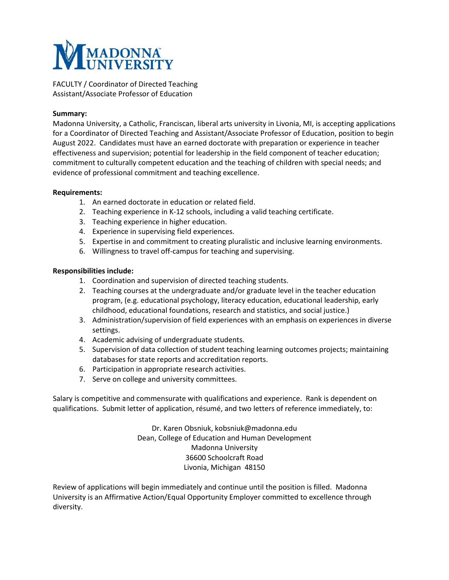

FACULTY / Coordinator of Directed Teaching Assistant/Associate Professor of Education

## **Summary:**

Madonna University, a Catholic, Franciscan, liberal arts university in Livonia, MI, is accepting applications for a Coordinator of Directed Teaching and Assistant/Associate Professor of Education, position to begin August 2022. Candidates must have an earned doctorate with preparation or experience in teacher effectiveness and supervision; potential for leadership in the field component of teacher education; commitment to culturally competent education and the teaching of children with special needs; and evidence of professional commitment and teaching excellence.

## **Requirements:**

- 1. An earned doctorate in education or related field.
- 2. Teaching experience in K-12 schools, including a valid teaching certificate.
- 3. Teaching experience in higher education.
- 4. Experience in supervising field experiences.
- 5. Expertise in and commitment to creating pluralistic and inclusive learning environments.
- 6. Willingness to travel off-campus for teaching and supervising.

## **Responsibilities include:**

- 1. Coordination and supervision of directed teaching students.
- 2. Teaching courses at the undergraduate and/or graduate level in the teacher education program, (e.g. educational psychology, literacy education, educational leadership, early childhood, educational foundations, research and statistics, and social justice.)
- 3. Administration/supervision of field experiences with an emphasis on experiences in diverse settings.
- 4. Academic advising of undergraduate students.
- 5. Supervision of data collection of student teaching learning outcomes projects; maintaining databases for state reports and accreditation reports.
- 6. Participation in appropriate research activities.
- 7. Serve on college and university committees.

Salary is competitive and commensurate with qualifications and experience. Rank is dependent on qualifications. Submit letter of application, résumé, and two letters of reference immediately, to:

> Dr. Karen Obsniuk, kobsniuk@madonna.edu Dean, College of Education and Human Development Madonna University 36600 Schoolcraft Road Livonia, Michigan 48150

Review of applications will begin immediately and continue until the position is filled. Madonna University is an Affirmative Action/Equal Opportunity Employer committed to excellence through diversity.